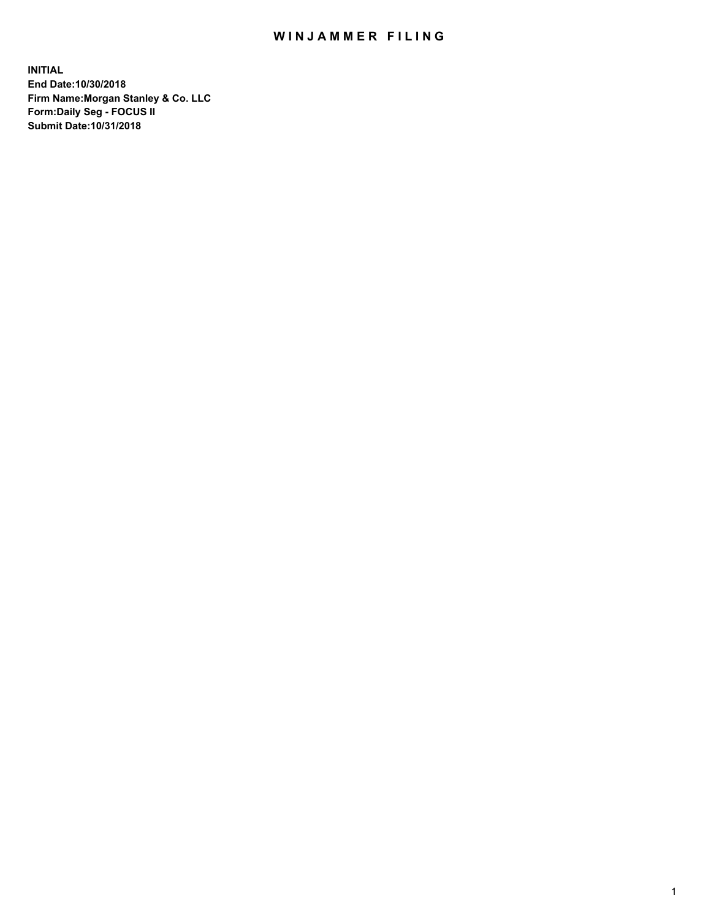## WIN JAMMER FILING

**INITIAL End Date:10/30/2018 Firm Name:Morgan Stanley & Co. LLC Form:Daily Seg - FOCUS II Submit Date:10/31/2018**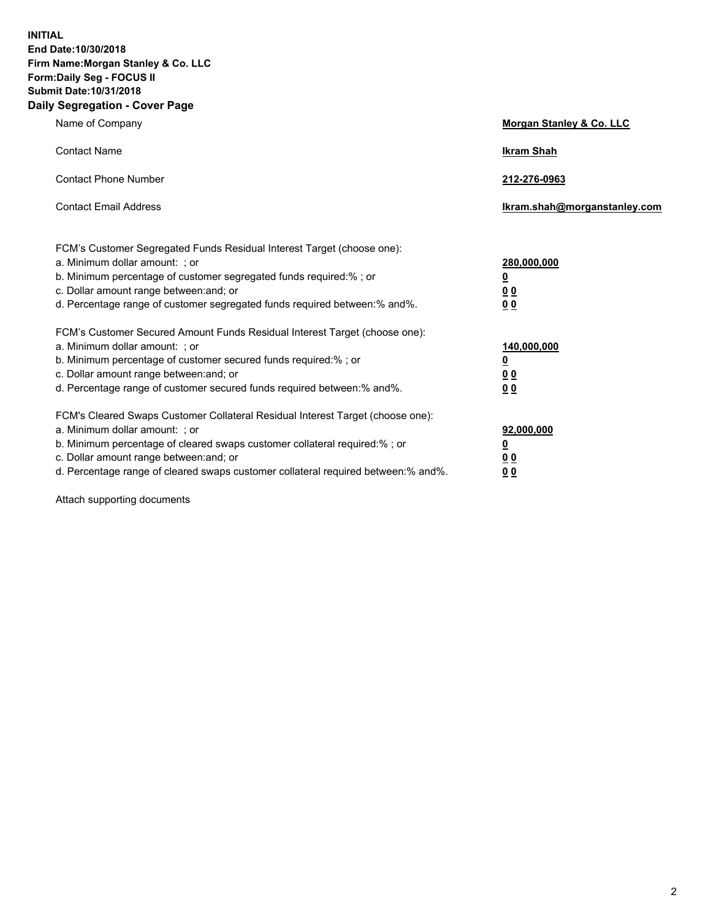**INITIAL End Date:10/30/2018 Firm Name:Morgan Stanley & Co. LLC Form:Daily Seg - FOCUS II Submit Date:10/31/2018 Daily Segregation - Cover Page**

| Name of Company                                                                                                                                                                                                                                                                                                                | Morgan Stanley & Co. LLC                               |
|--------------------------------------------------------------------------------------------------------------------------------------------------------------------------------------------------------------------------------------------------------------------------------------------------------------------------------|--------------------------------------------------------|
| <b>Contact Name</b>                                                                                                                                                                                                                                                                                                            | <b>Ikram Shah</b>                                      |
| <b>Contact Phone Number</b>                                                                                                                                                                                                                                                                                                    | 212-276-0963                                           |
| <b>Contact Email Address</b>                                                                                                                                                                                                                                                                                                   | Ikram.shah@morganstanley.com                           |
| FCM's Customer Segregated Funds Residual Interest Target (choose one):<br>a. Minimum dollar amount: ; or<br>b. Minimum percentage of customer segregated funds required:% ; or<br>c. Dollar amount range between: and; or<br>d. Percentage range of customer segregated funds required between:% and%.                         | 280,000,000<br><u>0</u><br>00<br>00                    |
| FCM's Customer Secured Amount Funds Residual Interest Target (choose one):<br>a. Minimum dollar amount: ; or<br>b. Minimum percentage of customer secured funds required:% ; or<br>c. Dollar amount range between: and; or<br>d. Percentage range of customer secured funds required between: % and %.                         | 140,000,000<br><u>0</u><br><u>00</u><br>0 <sub>0</sub> |
| FCM's Cleared Swaps Customer Collateral Residual Interest Target (choose one):<br>a. Minimum dollar amount: ; or<br>b. Minimum percentage of cleared swaps customer collateral required:% ; or<br>c. Dollar amount range between: and; or<br>d. Percentage range of cleared swaps customer collateral required between:% and%. | 92,000,000<br><u>0</u><br>0 Q<br>00                    |

Attach supporting documents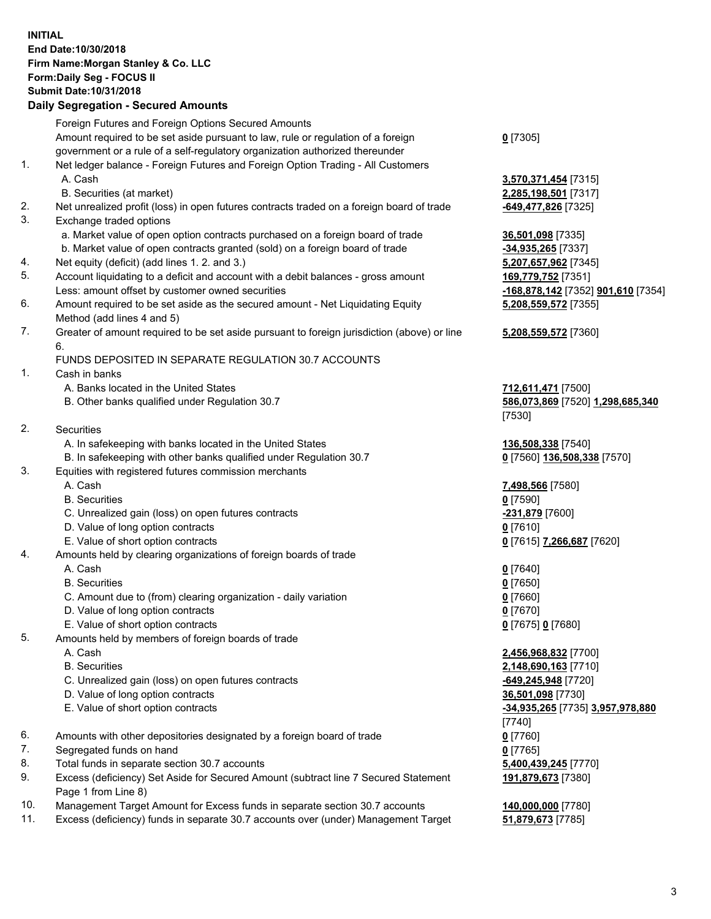## **INITIAL End Date:10/30/2018 Firm Name:Morgan Stanley & Co. LLC Form:Daily Seg - FOCUS II Submit Date:10/31/2018**

## **Daily Segregation - Secured Amounts**

|    | Foreign Futures and Foreign Options Secured Amounts                                         |                                    |
|----|---------------------------------------------------------------------------------------------|------------------------------------|
|    | Amount required to be set aside pursuant to law, rule or regulation of a foreign            | $0$ [7305]                         |
|    | government or a rule of a self-regulatory organization authorized thereunder                |                                    |
| 1. | Net ledger balance - Foreign Futures and Foreign Option Trading - All Customers             |                                    |
|    | A. Cash                                                                                     | 3,570,371,454 [7315]               |
|    | B. Securities (at market)                                                                   | 2,285,198,501 [7317]               |
| 2. | Net unrealized profit (loss) in open futures contracts traded on a foreign board of trade   | <u>-649,477,826</u> [7325]         |
| 3. | Exchange traded options                                                                     |                                    |
|    | a. Market value of open option contracts purchased on a foreign board of trade              | 36,501,098 [7335]                  |
|    | b. Market value of open contracts granted (sold) on a foreign board of trade                | -34,935,265 [7337]                 |
| 4. | Net equity (deficit) (add lines 1.2. and 3.)                                                | 5,207,657,962 [7345]               |
| 5. | Account liquidating to a deficit and account with a debit balances - gross amount           | 169,779,752 [7351]                 |
|    | Less: amount offset by customer owned securities                                            | -168,878,142 [7352] 901,610 [7354] |
| 6. | Amount required to be set aside as the secured amount - Net Liquidating Equity              | 5,208,559,572 [7355]               |
|    | Method (add lines 4 and 5)                                                                  |                                    |
| 7. | Greater of amount required to be set aside pursuant to foreign jurisdiction (above) or line | 5,208,559,572 [7360]               |
|    | 6.                                                                                          |                                    |
|    | FUNDS DEPOSITED IN SEPARATE REGULATION 30.7 ACCOUNTS                                        |                                    |
| 1. | Cash in banks                                                                               |                                    |
|    | A. Banks located in the United States                                                       | 712,611,471 [7500]                 |
|    | B. Other banks qualified under Regulation 30.7                                              | 586,073,869 [7520] 1,298,685,340   |
|    |                                                                                             | [7530]                             |
| 2. | Securities                                                                                  |                                    |
|    | A. In safekeeping with banks located in the United States                                   | 136,508,338 [7540]                 |
|    | B. In safekeeping with other banks qualified under Regulation 30.7                          | 0 [7560] 136,508,338 [7570]        |
| 3. | Equities with registered futures commission merchants                                       |                                    |
|    | A. Cash                                                                                     | 7,498,566 [7580]                   |
|    | <b>B.</b> Securities                                                                        | $0$ [7590]                         |
|    | C. Unrealized gain (loss) on open futures contracts                                         | -231,879 [7600]                    |
|    | D. Value of long option contracts                                                           | $0$ [7610]                         |
|    | E. Value of short option contracts                                                          | 0 [7615] 7,266,687 [7620]          |
| 4. | Amounts held by clearing organizations of foreign boards of trade                           |                                    |
|    | A. Cash                                                                                     | $0$ [7640]                         |
|    | <b>B.</b> Securities                                                                        | $0$ [7650]                         |
|    | C. Amount due to (from) clearing organization - daily variation                             | $0$ [7660]                         |
|    | D. Value of long option contracts                                                           | $0$ [7670]                         |
|    | E. Value of short option contracts                                                          | 0 [7675] 0 [7680]                  |
| 5. | Amounts held by members of foreign boards of trade                                          |                                    |
|    | A. Cash                                                                                     | 2,456,968,832 [7700]               |
|    | <b>B.</b> Securities                                                                        | 2,148,690,163 [7710]               |
|    | C. Unrealized gain (loss) on open futures contracts                                         | -649,245,948 [7720]                |
|    | D. Value of long option contracts                                                           | 36,501,098 [7730]                  |
|    | E. Value of short option contracts                                                          | -34,935,265 [7735] 3,957,978,880   |
|    |                                                                                             | [7740]                             |
| 6. | Amounts with other depositories designated by a foreign board of trade                      | $0$ [7760]                         |
| 7. | Segregated funds on hand                                                                    | $0$ [7765]                         |
| 8. | Total funds in separate section 30.7 accounts                                               | 5,400,439,245 [7770]               |
| 9. | Excess (deficiency) Set Aside for Secured Amount (subtract line 7 Secured Statement         | 191,879,673 [7380]                 |
|    | Page 1 from Line 8)                                                                         |                                    |
|    |                                                                                             |                                    |

- 10. Management Target Amount for Excess funds in separate section 30.7 accounts **140,000,000** [7780]
- 11. Excess (deficiency) funds in separate 30.7 accounts over (under) Management Target **51,879,673** [7785]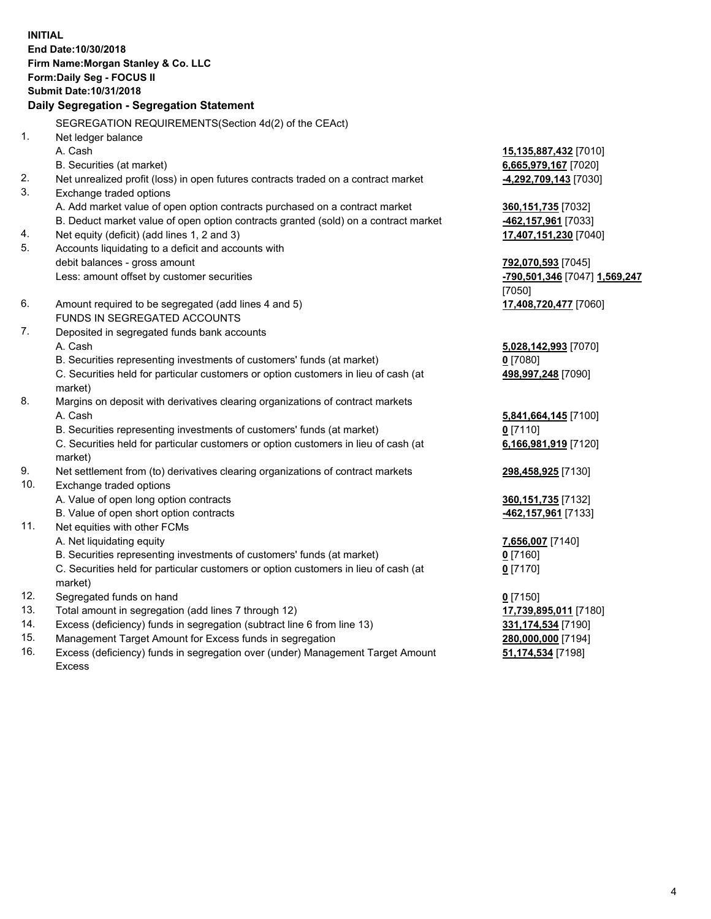**INITIAL End Date:10/30/2018 Firm Name:Morgan Stanley & Co. LLC Form:Daily Seg - FOCUS II Submit Date:10/31/2018 Daily Segregation - Segregation Statement** SEGREGATION REQUIREMENTS(Section 4d(2) of the CEAct) 1. Net ledger balance A. Cash **15,135,887,432** [7010] B. Securities (at market) **6,665,979,167** [7020] 2. Net unrealized profit (loss) in open futures contracts traded on a contract market **-4,292,709,143** [7030] 3. Exchange traded options A. Add market value of open option contracts purchased on a contract market **360,151,735** [7032] B. Deduct market value of open option contracts granted (sold) on a contract market **-462,157,961** [7033] 4. Net equity (deficit) (add lines 1, 2 and 3) **17,407,151,230** [7040] 5. Accounts liquidating to a deficit and accounts with debit balances - gross amount **792,070,593** [7045] Less: amount offset by customer securities **-790,501,346** [7047] **1,569,247** [7050] 6. Amount required to be segregated (add lines 4 and 5) **17,408,720,477** [7060] FUNDS IN SEGREGATED ACCOUNTS 7. Deposited in segregated funds bank accounts A. Cash **5,028,142,993** [7070] B. Securities representing investments of customers' funds (at market) **0** [7080] C. Securities held for particular customers or option customers in lieu of cash (at market) **498,997,248** [7090] 8. Margins on deposit with derivatives clearing organizations of contract markets A. Cash **5,841,664,145** [7100] B. Securities representing investments of customers' funds (at market) **0** [7110] C. Securities held for particular customers or option customers in lieu of cash (at market) **6,166,981,919** [7120] 9. Net settlement from (to) derivatives clearing organizations of contract markets **298,458,925** [7130] 10. Exchange traded options A. Value of open long option contracts **360,151,735** [7132] B. Value of open short option contracts **-462,157,961** [7133] 11. Net equities with other FCMs A. Net liquidating equity **7,656,007** [7140] B. Securities representing investments of customers' funds (at market) **0** [7160] C. Securities held for particular customers or option customers in lieu of cash (at market) **0** [7170] 12. Segregated funds on hand **0** [7150] 13. Total amount in segregation (add lines 7 through 12) **17,739,895,011** [7180] 14. Excess (deficiency) funds in segregation (subtract line 6 from line 13) **331,174,534** [7190]

- 15. Management Target Amount for Excess funds in segregation **280,000,000** [7194]
- 16. Excess (deficiency) funds in segregation over (under) Management Target Amount Excess

**51,174,534** [7198]